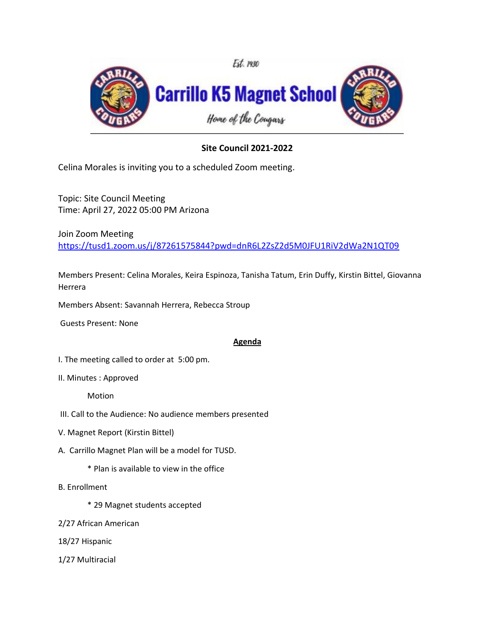

## **Site Council 2021-2022**

Celina Morales is inviting you to a scheduled Zoom meeting.

Topic: Site Council Meeting Time: April 27, 2022 05:00 PM Arizona

Join Zoom Meeting

[https://tusd1.zoom.us/j/87261575844?pwd=dnR6L2ZsZ2d5M0JFU1RiV2dWa2N1QT09](https://nam04.safelinks.protection.outlook.com/?url=https%3A%2F%2Ftusd1.zoom.us%2Fj%2F87261575844%3Fpwd%3DdnR6L2ZsZ2d5M0JFU1RiV2dWa2N1QT09&data=02%7C01%7CCelina.Morales%40tusd1.org%7C8f214f6e08f841bad38708d859b92891%7Cbc7050e04bcc48099245ea8b65084865%7C0%7C0%7C637357999078969867&sdata=OTgDvfsTA3TFfc%2Baph8lfjZBfhkofjXn%2FU73YQ0ZaOI%3D&reserved=0)

Members Present: Celina Morales, Keira Espinoza, Tanisha Tatum, Erin Duffy, Kirstin Bittel, Giovanna Herrera

Members Absent: Savannah Herrera, Rebecca Stroup

Guests Present: None

## **Agenda**

I. The meeting called to order at 5:00 pm.

II. Minutes : Approved

Motion

- III. Call to the Audience: No audience members presented
- V. Magnet Report (Kirstin Bittel)
- A. Carrillo Magnet Plan will be a model for TUSD.

\* Plan is available to view in the office

- B. Enrollment
	- \* 29 Magnet students accepted
- 2/27 African American
- 18/27 Hispanic
- 1/27 Multiracial